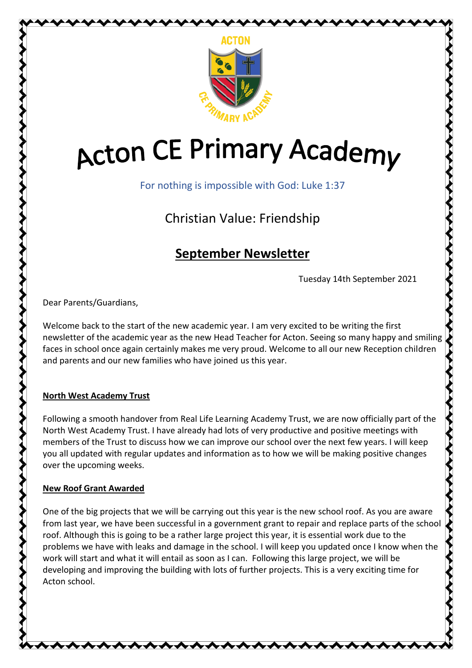

# **Acton CE Primary Academy**

For nothing is impossible with God: Luke 1:37

Christian Value: Friendship

# **September Newsletter**

Tuesday 14th September 2021

くくくくし

Dear Parents/Guardians,

Welcome back to the start of the new academic year. I am very excited to be writing the first newsletter of the academic year as the new Head Teacher for Acton. Seeing so many happy and smiling faces in school once again certainly makes me very proud. Welcome to all our new Reception children and parents and our new families who have joined us this year.

# **North West Academy Trust**

Following a smooth handover from Real Life Learning Academy Trust, we are now officially part of the North West Academy Trust. I have already had lots of very productive and positive meetings with members of the Trust to discuss how we can improve our school over the next few years. I will keep you all updated with regular updates and information as to how we will be making positive changes over the upcoming weeks.

# **New Roof Grant Awarded**

One of the big projects that we will be carrying out this year is the new school roof. As you are aware from last year, we have been successful in a government grant to repair and replace parts of the school roof. Although this is going to be a rather large project this year, it is essential work due to the problems we have with leaks and damage in the school. I will keep you updated once I know when the work will start and what it will entail as soon as I can. Following this large project, we will be developing and improving the building with lots of further projects. This is a very exciting time for Acton school.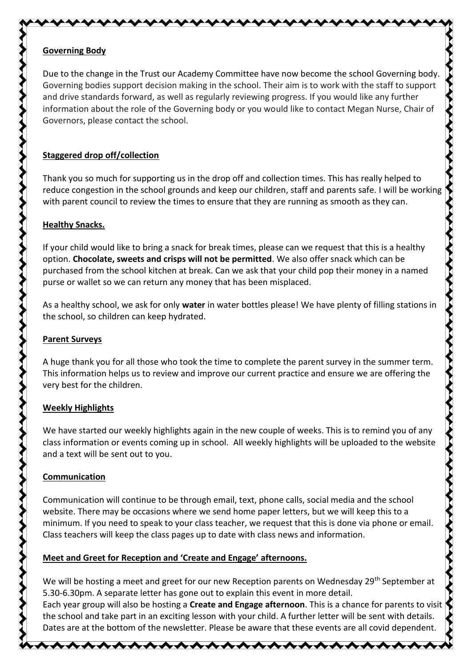#### **Governing Body**

Due to the change in the Trust our Academy Committee have now become the school Governing body. Governing bodies support decision making in the school. Their aim is to work with the staff to support and drive standards forward, as well as regularly reviewing progress. If you would like any further information about the role of the Governing body or you would like to contact Megan Nurse, Chair of Governors, please contact the school.

<del>୵₩₩₩₩₩₩₩₩₩₩₩₩</del>

# **Staggered drop off/collection**

Thank you so much for supporting us in the drop off and collection times. This has really helped to reduce congestion in the school grounds and keep our children, staff and parents safe. I will be working with parent council to review the times to ensure that they are running as smooth as they can.

# **Healthy Snacks.**

If your child would like to bring a snack for break times, please can we request that this is a healthy option. **Chocolate, sweets and crisps will not be permitted**. We also offer snack which can be purchased from the school kitchen at break. Can we ask that your child pop their money in a named purse or wallet so we can return any money that has been misplaced.

As a healthy school, we ask for only **water** in water bottles please! We have plenty of filling stations in the school, so children can keep hydrated.

# **Parent Surveys**

A huge thank you for all those who took the time to complete the parent survey in the summer term. This information helps us to review and improve our current practice and ensure we are offering the very best for the children.

# **Weekly Highlights**

We have started our weekly highlights again in the new couple of weeks. This is to remind you of any class information or events coming up in school. All weekly highlights will be uploaded to the website and a text will be sent out to you.

# **Communication**

Communication will continue to be through email, text, phone calls, social media and the school website. There may be occasions where we send home paper letters, but we will keep this to a minimum. If you need to speak to your class teacher, we request that this is done via phone or email. Class teachers will keep the class pages up to date with class news and information.

# **Meet and Greet for Reception and 'Create and Engage' afternoons.**

We will be hosting a meet and greet for our new Reception parents on Wednesday 29<sup>th</sup> September at 5.30-6.30pm. A separate letter has gone out to explain this event in more detail.

Each year group will also be hosting a **Create and Engage afternoon**. This is a chance for parents to visit the school and take part in an exciting lesson with your child. A further letter will be sent with details. Dates are at the bottom of the newsletter. Please be aware that these events are all covid dependent.

<del>, ∧∧∧∧∧∧∧∧∧∧∧∧∧∧∧∧∧</del>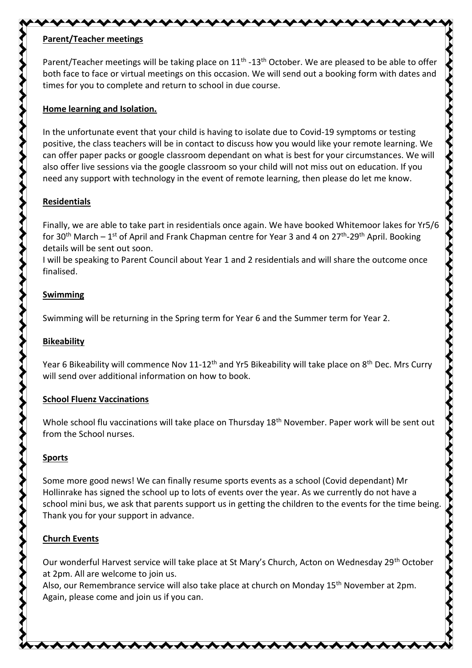# **Parent/Teacher meetings**

Parent/Teacher meetings will be taking place on 11<sup>th</sup> -13<sup>th</sup> October. We are pleased to be able to offer both face to face or virtual meetings on this occasion. We will send out a booking form with dates and times for you to complete and return to school in due course.

\\\\\\\\\\\\\\\\\\\\\\\\\\\

#### **Home learning and Isolation.**

In the unfortunate event that your child is having to isolate due to Covid-19 symptoms or testing positive, the class teachers will be in contact to discuss how you would like your remote learning. We can offer paper packs or google classroom dependant on what is best for your circumstances. We will also offer live sessions via the google classroom so your child will not miss out on education. If you need any support with technology in the event of remote learning, then please do let me know.

# **Residentials**

Finally, we are able to take part in residentials once again. We have booked Whitemoor lakes for Yr5/6 for 30<sup>th</sup> March – 1<sup>st</sup> of April and Frank Chapman centre for Year 3 and 4 on 27<sup>th</sup>-29<sup>th</sup> April. Booking details will be sent out soon.

I will be speaking to Parent Council about Year 1 and 2 residentials and will share the outcome once finalised.

# **Swimming**

Swimming will be returning in the Spring term for Year 6 and the Summer term for Year 2.

# **Bikeability**

Year 6 Bikeability will commence Nov 11-12<sup>th</sup> and Yr5 Bikeability will take place on 8<sup>th</sup> Dec. Mrs Curry will send over additional information on how to book.

# **School Fluenz Vaccinations**

Whole school flu vaccinations will take place on Thursday 18<sup>th</sup> November. Paper work will be sent out from the School nurses.

# **Sports**

Some more good news! We can finally resume sports events as a school (Covid dependant) Mr Hollinrake has signed the school up to lots of events over the year. As we currently do not have a school mini bus, we ask that parents support us in getting the children to the events for the time being. Thank you for your support in advance.

# **Church Events**

Our wonderful Harvest service will take place at St Mary's Church, Acton on Wednesday 29<sup>th</sup> October at 2pm. All are welcome to join us.

┄ᠰᠰᠰᠰᠰᠠ

Also, our Remembrance service will also take place at church on Monday 15th November at 2pm. Again, please come and join us if you can.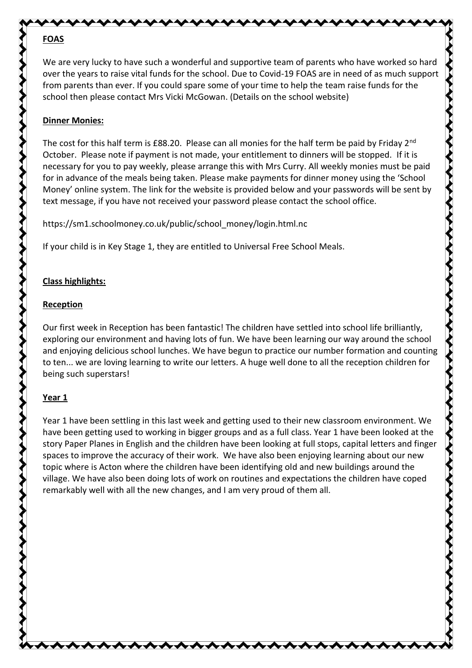# **FOAS**

We are very lucky to have such a wonderful and supportive team of parents who have worked so hard over the years to raise vital funds for the school. Due to Covid-19 FOAS are in need of as much support from parents than ever. If you could spare some of your time to help the team raise funds for the school then please contact Mrs Vicki McGowan. (Details on the school website)

# **Dinner Monies:**

The cost for this half term is £88.20. Please can all monies for the half term be paid by Friday 2<sup>nd</sup> October. Please note if payment is not made, your entitlement to dinners will be stopped. If it is necessary for you to pay weekly, please arrange this with Mrs Curry. All weekly monies must be paid for in advance of the meals being taken. Please make payments for dinner money using the 'School Money' online system. The link for the website is provided below and your passwords will be sent by text message, if you have not received your password please contact the school office.

https://sm1.schoolmoney.co.uk/public/school\_money/login.html.nc

**、↓↓↓↓↓↓↓↓↓↓↓↓↓↓↓↓↓↓↓↓** 

If your child is in Key Stage 1, they are entitled to Universal Free School Meals.

# **Class highlights:**

# **Reception**

Our first week in Reception has been fantastic! The children have settled into school life brilliantly, exploring our environment and having lots of fun. We have been learning our way around the school and enjoying delicious school lunches. We have begun to practice our number formation and counting to ten... we are loving learning to write our letters. A huge well done to all the reception children for being such superstars!

# **Year 1**

Year 1 have been settling in this last week and getting used to their new classroom environment. We have been getting used to working in bigger groups and as a full class. Year 1 have been looked at the story Paper Planes in English and the children have been looking at full stops, capital letters and finger spaces to improve the accuracy of their work. We have also been enjoying learning about our new topic where is Acton where the children have been identifying old and new buildings around the village. We have also been doing lots of work on routines and expectations the children have coped remarkably well with all the new changes, and I am very proud of them all.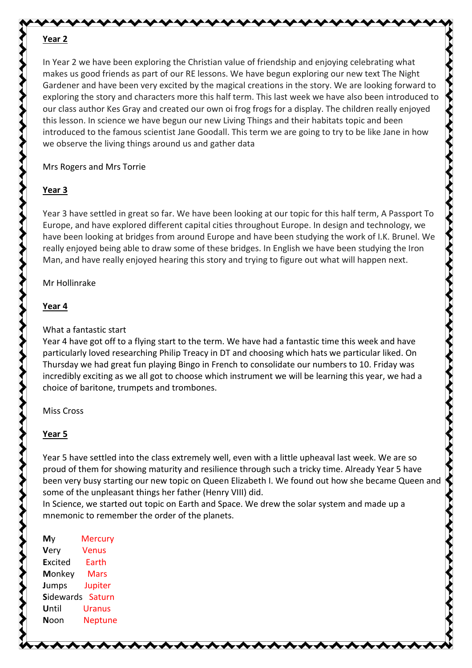#### **Year 2**

In Year 2 we have been exploring the Christian value of friendship and enjoying celebrating what makes us good friends as part of our RE lessons. We have begun exploring our new text The Night Gardener and have been very excited by the magical creations in the story. We are looking forward to exploring the story and characters more this half term. This last week we have also been introduced to our class author Kes Gray and created our own oi frog frogs for a display. The children really enjoyed this lesson. In science we have begun our new Living Things and their habitats topic and been introduced to the famous scientist Jane Goodall. This term we are going to try to be like Jane in how we observe the living things around us and gather data

**\\\\\\\\\** 

Mrs Rogers and Mrs Torrie

# **Year 3**

Year 3 have settled in great so far. We have been looking at our topic for this half term, A Passport To Europe, and have explored different capital cities throughout Europe. In design and technology, we have been looking at bridges from around Europe and have been studying the work of I.K. Brunel. We really enjoyed being able to draw some of these bridges. In English we have been studying the Iron Man, and have really enjoyed hearing this story and trying to figure out what will happen next.

ヘイヘイ

くくくく

Mr Hollinrake

# **Year 4**

# What a fantastic start

Year 4 have got off to a flying start to the term. We have had a fantastic time this week and have particularly loved researching Philip Treacy in DT and choosing which hats we particular liked. On Thursday we had great fun playing Bingo in French to consolidate our numbers to 10. Friday was incredibly exciting as we all got to choose which instrument we will be learning this year, we had a choice of baritone, trumpets and trombones.

Miss Cross

# **Year 5**

Year 5 have settled into the class extremely well, even with a little upheaval last week. We are so proud of them for showing maturity and resilience through such a tricky time. Already Year 5 have been very busy starting our new topic on Queen Elizabeth I. We found out how she became Queen and some of the unpleasant things her father (Henry VIII) did.

In Science, we started out topic on Earth and Space. We drew the solar system and made up a mnemonic to remember the order of the planets.

| My               | <b>Mercury</b> |
|------------------|----------------|
| Very             | <b>Venus</b>   |
| <b>Excited</b>   | <b>Earth</b>   |
| Monkey           | Mars           |
| <b>Jumps</b>     | Jupiter        |
| <b>Sidewards</b> | Saturn         |
| Until            | Uranus         |
| Noon             | <b>Neptune</b> |
|                  |                |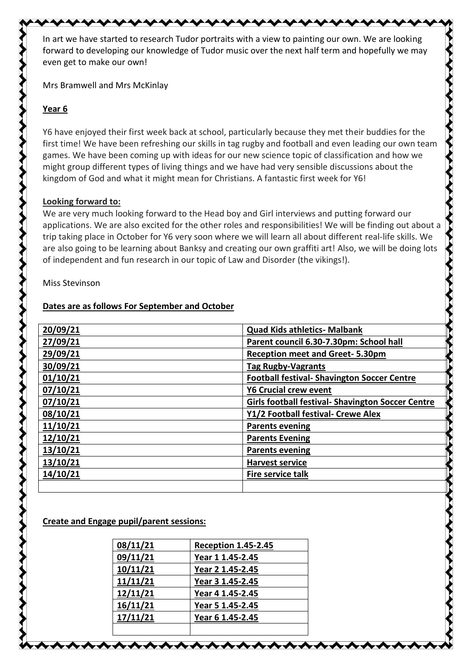In art we have started to research Tudor portraits with a view to painting our own. We are looking forward to developing our knowledge of Tudor music over the next half term and hopefully we may even get to make our own!

xxxxxxxxxxxxxxxxxxxxxx

Mrs Bramwell and Mrs McKinlay

# **Year 6**

Y6 have enjoyed their first week back at school, particularly because they met their buddies for the first time! We have been refreshing our skills in tag rugby and football and even leading our own team games. We have been coming up with ideas for our new science topic of classification and how we might group different types of living things and we have had very sensible discussions about the kingdom of God and what it might mean for Christians. A fantastic first week for Y6!

 $\leftrightarrow$   $\leftrightarrow$   $\leftrightarrow$   $\rightarrow$ 

くくくくくく

#### **Looking forward to:**

We are very much looking forward to the Head boy and Girl interviews and putting forward our applications. We are also excited for the other roles and responsibilities! We will be finding out about a trip taking place in October for Y6 very soon where we will learn all about different real-life skills. We are also going to be learning about Banksy and creating our own graffiti art! Also, we will be doing lots of independent and fun research in our topic of Law and Disorder (the vikings!).

#### Miss Stevinson

アクトライン ちょうしょう ちょうかん じょうかん ちょうかん ちょうかん かいしょう かいじょう アイアンドレイン アイアン アイアン

# **Dates are as follows For September and October**

| 20/09/21 | <b>Quad Kids athletics- Malbank</b>                      |
|----------|----------------------------------------------------------|
| 27/09/21 | Parent council 6.30-7.30pm: School hall                  |
| 29/09/21 | <b>Reception meet and Greet-5.30pm</b>                   |
| 30/09/21 | <b>Tag Rugby-Vagrants</b>                                |
| 01/10/21 | <b>Football festival- Shavington Soccer Centre</b>       |
| 07/10/21 | <b>Y6 Crucial crew event</b>                             |
| 07/10/21 | <b>Girls football festival- Shavington Soccer Centre</b> |
| 08/10/21 | Y1/2 Football festival- Crewe Alex                       |
| 11/10/21 | <b>Parents evening</b>                                   |
| 12/10/21 | <b>Parents Evening</b>                                   |
| 13/10/21 | <b>Parents evening</b>                                   |
| 13/10/21 | <b>Harvest service</b>                                   |
| 14/10/21 | <b>Fire service talk</b>                                 |
|          |                                                          |

#### **Create and Engage pupil/parent sessions:**

| 08/11/21        | <b>Reception 1.45-2.45</b> |
|-----------------|----------------------------|
| 09/11/21        | Year 1 1.45-2.45           |
| 10/11/21        | Year 2 1.45-2.45           |
| <u>11/11/21</u> | Year 3 1.45-2.45           |
| 12/11/21        | Year 4 1.45-2.45           |
| 16/11/21        | Year 5 1.45-2.45           |
| 17/11/21        | Year 6 1.45-2.45           |
|                 |                            |